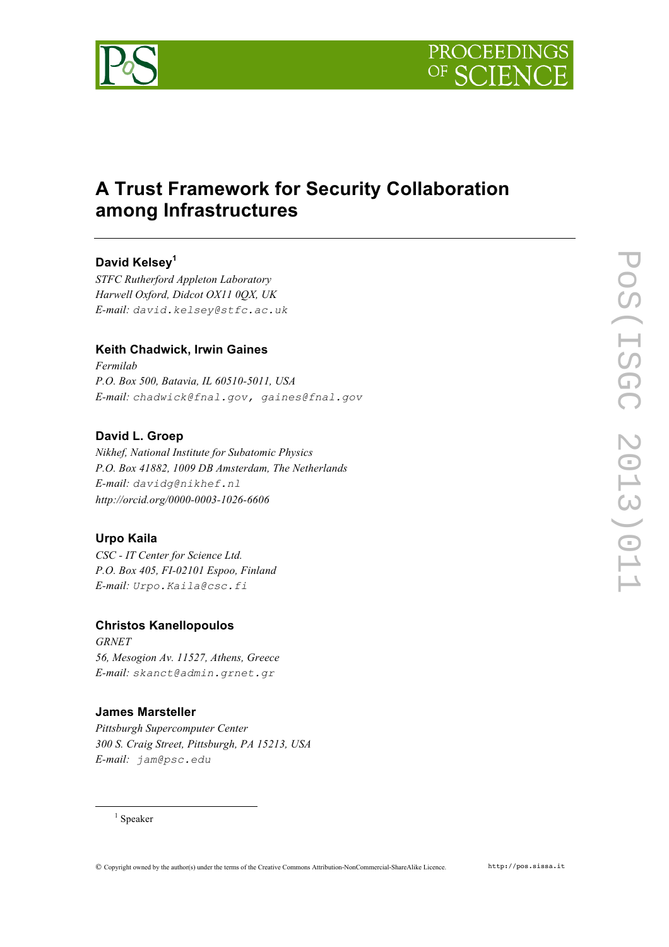

# **A Trust Framework for Security Collaboration among Infrastructures**

# **David Kelsey<sup>1</sup>**

*STFC Rutherford Appleton Laboratory Harwell Oxford, Didcot OX11 0QX, UK E-mail: david.kelsey@stfc.ac.uk*

# **Keith Chadwick, Irwin Gaines**

*Fermilab P.O. Box 500, Batavia, IL 60510-5011, USA E-mail: chadwick@fnal.gov, gaines@fnal.gov*

# **David L. Groep**

*Nikhef, National Institute for Subatomic Physics P.O. Box 41882, 1009 DB Amsterdam, The Netherlands E-mail: davidg@nikhef.nl http://orcid.org/0000-0003-1026-6606*

# **Urpo Kaila**

*CSC - IT Center for Science Ltd. P.O. Box 405, FI-02101 Espoo, Finland E-mail: Urpo.Kaila@csc.fi*

## **Christos Kanellopoulos**

*GRNET 56, Mesogion Av. 11527, Athens, Greece E-mail: skanct@admin.grnet.gr*

## **James Marsteller**

*Pittsburgh Supercomputer Center 300 S. Craig Street, Pittsburgh, PA 15213, USA E-mail: jam@psc.edu*

 $1$  Speaker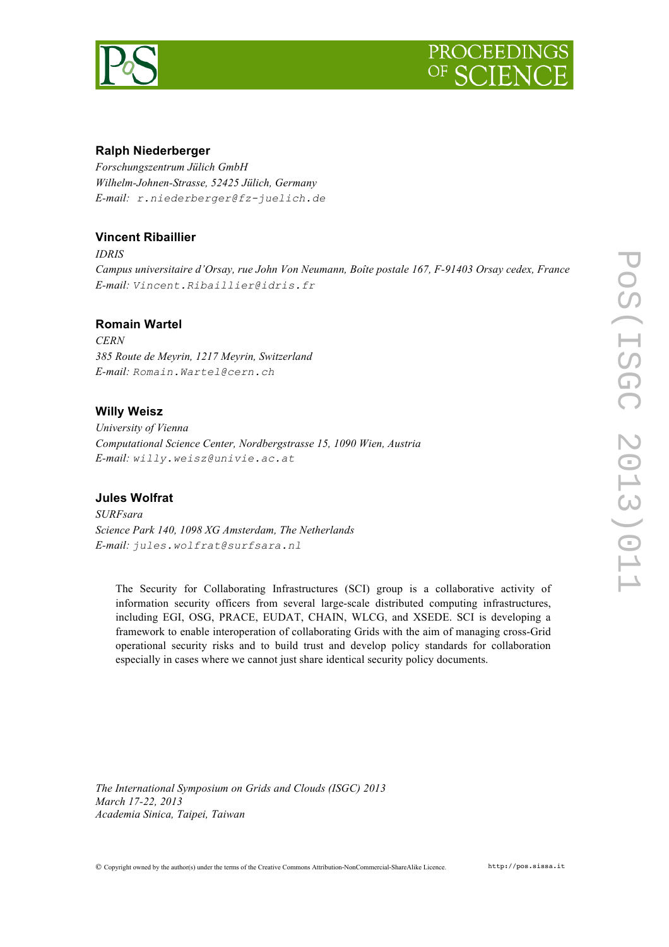



## **Ralph Niederberger**

*Forschungszentrum Jülich GmbH Wilhelm-Johnen-Strasse, 52425 Jülich, Germany E-mail: r.niederberger@fz-juelich.de*

# **Vincent Ribaillier**

*IDRIS Campus universitaire d'Orsay, rue John Von Neumann, Boîte postale 167, F-91403 Orsay cedex, France E-mail: Vincent.Ribaillier@idris.fr*

#### **Romain Wartel**

*CERN 385 Route de Meyrin, 1217 Meyrin, Switzerland E-mail: Romain.Wartel@cern.ch*

#### **Willy Weisz**

*University of Vienna Computational Science Center, Nordbergstrasse 15, 1090 Wien, Austria E-mail: willy.weisz@univie.ac.at*

## **Jules Wolfrat**

*SURFsara Science Park 140, 1098 XG Amsterdam, The Netherlands E-mail: jules.wolfrat@surfsara.nl*

The Security for Collaborating Infrastructures (SCI) group is a collaborative activity of information security officers from several large-scale distributed computing infrastructures, including EGI, OSG, PRACE, EUDAT, CHAIN, WLCG, and XSEDE. SCI is developing a framework to enable interoperation of collaborating Grids with the aim of managing cross-Grid operational security risks and to build trust and develop policy standards for collaboration especially in cases where we cannot just share identical security policy documents.

*The International Symposium on Grids and Clouds (ISGC) 2013 March 17-22, 2013 Academia Sinica, Taipei, Taiwan*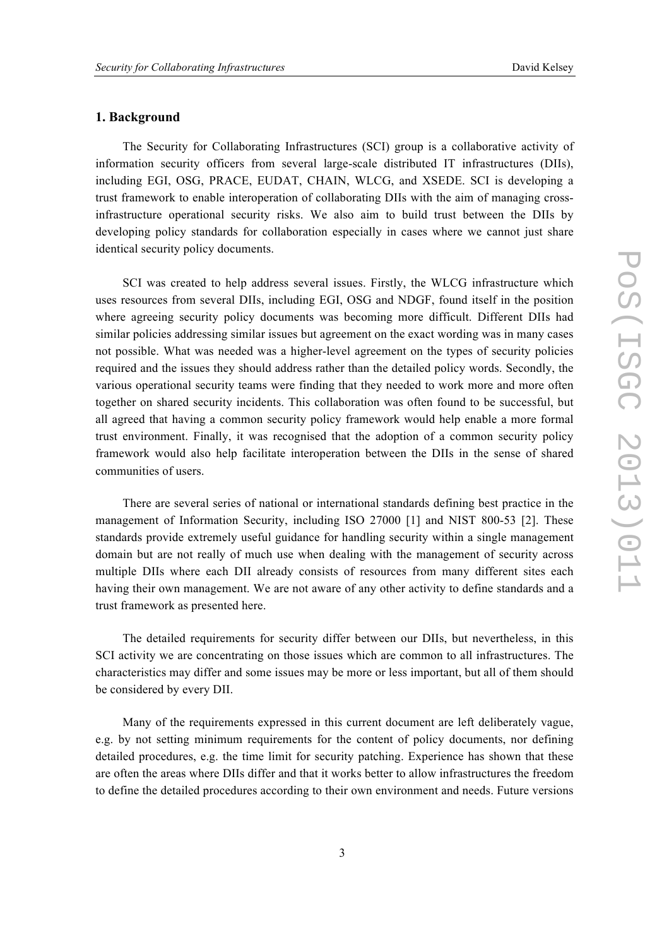## **1. Background**

The Security for Collaborating Infrastructures (SCI) group is a collaborative activity of information security officers from several large-scale distributed IT infrastructures (DIIs), including EGI, OSG, PRACE, EUDAT, CHAIN, WLCG, and XSEDE. SCI is developing a trust framework to enable interoperation of collaborating DIIs with the aim of managing crossinfrastructure operational security risks. We also aim to build trust between the DIIs by developing policy standards for collaboration especially in cases where we cannot just share identical security policy documents.

SCI was created to help address several issues. Firstly, the WLCG infrastructure which uses resources from several DIIs, including EGI, OSG and NDGF, found itself in the position where agreeing security policy documents was becoming more difficult. Different DIIs had similar policies addressing similar issues but agreement on the exact wording was in many cases not possible. What was needed was a higher-level agreement on the types of security policies required and the issues they should address rather than the detailed policy words. Secondly, the various operational security teams were finding that they needed to work more and more often together on shared security incidents. This collaboration was often found to be successful, but all agreed that having a common security policy framework would help enable a more formal trust environment. Finally, it was recognised that the adoption of a common security policy framework would also help facilitate interoperation between the DIIs in the sense of shared communities of users.

There are several series of national or international standards defining best practice in the management of Information Security, including ISO 27000 [1] and NIST 800-53 [2]. These standards provide extremely useful guidance for handling security within a single management domain but are not really of much use when dealing with the management of security across multiple DIIs where each DII already consists of resources from many different sites each having their own management. We are not aware of any other activity to define standards and a trust framework as presented here.

The detailed requirements for security differ between our DIIs, but nevertheless, in this SCI activity we are concentrating on those issues which are common to all infrastructures. The characteristics may differ and some issues may be more or less important, but all of them should be considered by every DII.

Many of the requirements expressed in this current document are left deliberately vague, e.g. by not setting minimum requirements for the content of policy documents, nor defining detailed procedures, e.g. the time limit for security patching. Experience has shown that these are often the areas where DIIs differ and that it works better to allow infrastructures the freedom to define the detailed procedures according to their own environment and needs. Future versions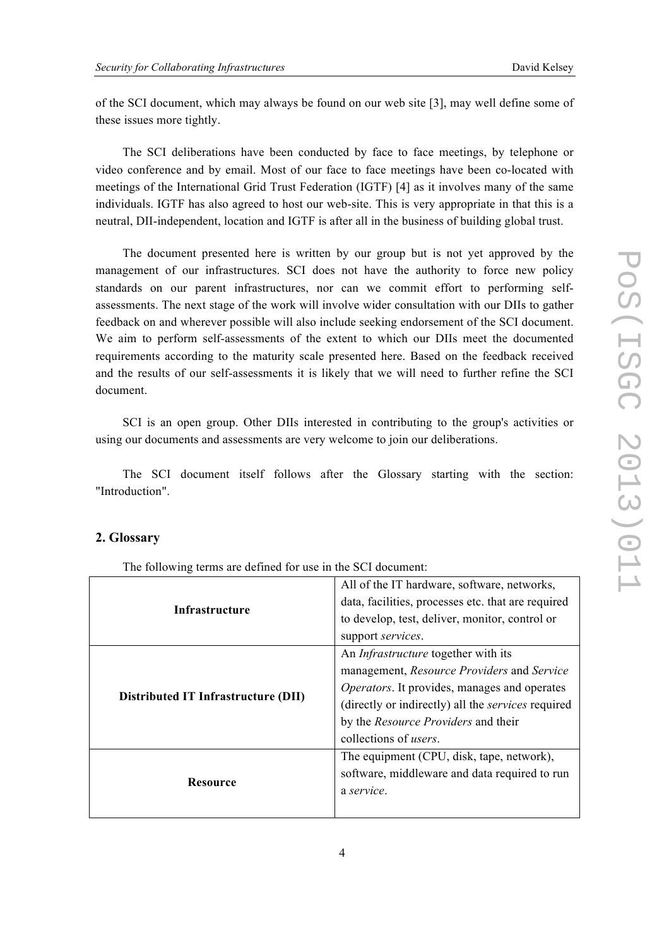of the SCI document, which may always be found on our web site [3], may well define some of these issues more tightly.

The SCI deliberations have been conducted by face to face meetings, by telephone or video conference and by email. Most of our face to face meetings have been co-located with meetings of the International Grid Trust Federation (IGTF) [4] as it involves many of the same individuals. IGTF has also agreed to host our web-site. This is very appropriate in that this is a neutral, DII-independent, location and IGTF is after all in the business of building global trust.

The document presented here is written by our group but is not yet approved by the management of our infrastructures. SCI does not have the authority to force new policy standards on our parent infrastructures, nor can we commit effort to performing selfassessments. The next stage of the work will involve wider consultation with our DIIs to gather feedback on and wherever possible will also include seeking endorsement of the SCI document. We aim to perform self-assessments of the extent to which our DIIs meet the documented requirements according to the maturity scale presented here. Based on the feedback received and the results of our self-assessments it is likely that we will need to further refine the SCI document.

SCI is an open group. Other DIIs interested in contributing to the group's activities or using our documents and assessments are very welcome to join our deliberations.

The SCI document itself follows after the Glossary starting with the section: "Introduction".

# **2. Glossary**

The following terms are defined for use in the SCI document:

| Infrastructure                      | All of the IT hardware, software, networks,         |
|-------------------------------------|-----------------------------------------------------|
|                                     | data, facilities, processes etc. that are required  |
|                                     | to develop, test, deliver, monitor, control or      |
|                                     | support services.                                   |
| Distributed IT Infrastructure (DII) | An <i>Infrastructure</i> together with its          |
|                                     | management, Resource Providers and Service          |
|                                     | <i>Operators.</i> It provides, manages and operates |
|                                     | (directly or indirectly) all the services required  |
|                                     | by the <i>Resource Providers</i> and their          |
|                                     | collections of <i>users</i> .                       |
| <b>Resource</b>                     | The equipment (CPU, disk, tape, network),           |
|                                     | software, middleware and data required to run       |
|                                     | a service.                                          |
|                                     |                                                     |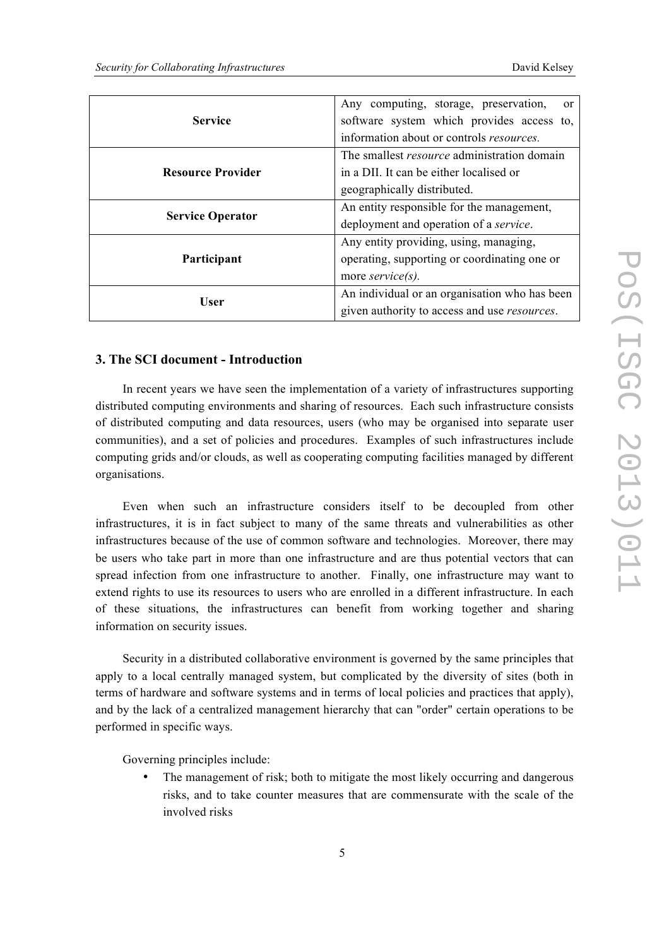| <b>Service</b>           | Any computing, storage, preservation,<br><sub>or</sub> |
|--------------------------|--------------------------------------------------------|
|                          | software system which provides access to,              |
|                          | information about or controls <i>resources</i> .       |
| <b>Resource Provider</b> | The smallest <i>resource</i> administration domain     |
|                          | in a DII. It can be either localised or                |
|                          | geographically distributed.                            |
| <b>Service Operator</b>  | An entity responsible for the management,              |
|                          | deployment and operation of a service.                 |
| Participant              | Any entity providing, using, managing,                 |
|                          | operating, supporting or coordinating one or           |
|                          | more service(s).                                       |
| User                     | An individual or an organisation who has been          |
|                          | given authority to access and use <i>resources</i> .   |

## **3. The SCI document - Introduction**

In recent years we have seen the implementation of a variety of infrastructures supporting distributed computing environments and sharing of resources. Each such infrastructure consists of distributed computing and data resources, users (who may be organised into separate user communities), and a set of policies and procedures. Examples of such infrastructures include computing grids and/or clouds, as well as cooperating computing facilities managed by different organisations.

Even when such an infrastructure considers itself to be decoupled from other infrastructures, it is in fact subject to many of the same threats and vulnerabilities as other infrastructures because of the use of common software and technologies. Moreover, there may be users who take part in more than one infrastructure and are thus potential vectors that can spread infection from one infrastructure to another. Finally, one infrastructure may want to extend rights to use its resources to users who are enrolled in a different infrastructure. In each of these situations, the infrastructures can benefit from working together and sharing information on security issues.

Security in a distributed collaborative environment is governed by the same principles that apply to a local centrally managed system, but complicated by the diversity of sites (both in terms of hardware and software systems and in terms of local policies and practices that apply), and by the lack of a centralized management hierarchy that can "order" certain operations to be performed in specific ways.

Governing principles include:

• The management of risk; both to mitigate the most likely occurring and dangerous risks, and to take counter measures that are commensurate with the scale of the involved risks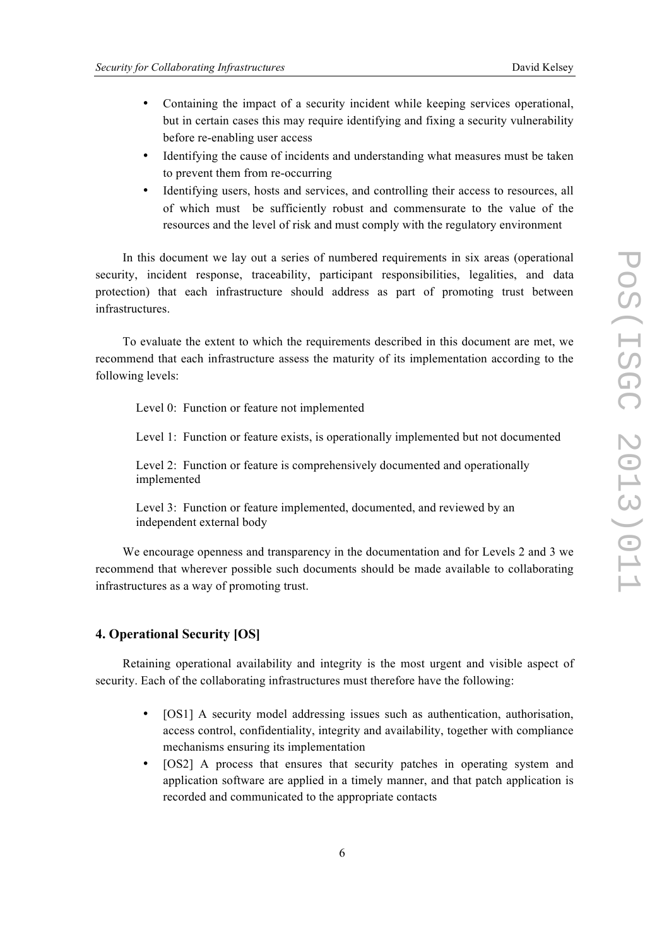- Containing the impact of a security incident while keeping services operational, but in certain cases this may require identifying and fixing a security vulnerability before re-enabling user access
- Identifying the cause of incidents and understanding what measures must be taken to prevent them from re-occurring
- Identifying users, hosts and services, and controlling their access to resources, all of which must be sufficiently robust and commensurate to the value of the resources and the level of risk and must comply with the regulatory environment

In this document we lay out a series of numbered requirements in six areas (operational security, incident response, traceability, participant responsibilities, legalities, and data protection) that each infrastructure should address as part of promoting trust between infrastructures.

To evaluate the extent to which the requirements described in this document are met, we recommend that each infrastructure assess the maturity of its implementation according to the following levels:

Level 0: Function or feature not implemented

Level 1: Function or feature exists, is operationally implemented but not documented

Level 2: Function or feature is comprehensively documented and operationally implemented

Level 3: Function or feature implemented, documented, and reviewed by an independent external body

We encourage openness and transparency in the documentation and for Levels 2 and 3 we recommend that wherever possible such documents should be made available to collaborating infrastructures as a way of promoting trust.

# **4. Operational Security [OS]**

Retaining operational availability and integrity is the most urgent and visible aspect of security. Each of the collaborating infrastructures must therefore have the following:

- [OS1] A security model addressing issues such as authentication, authorisation, access control, confidentiality, integrity and availability, together with compliance mechanisms ensuring its implementation
- [OS2] A process that ensures that security patches in operating system and application software are applied in a timely manner, and that patch application is recorded and communicated to the appropriate contacts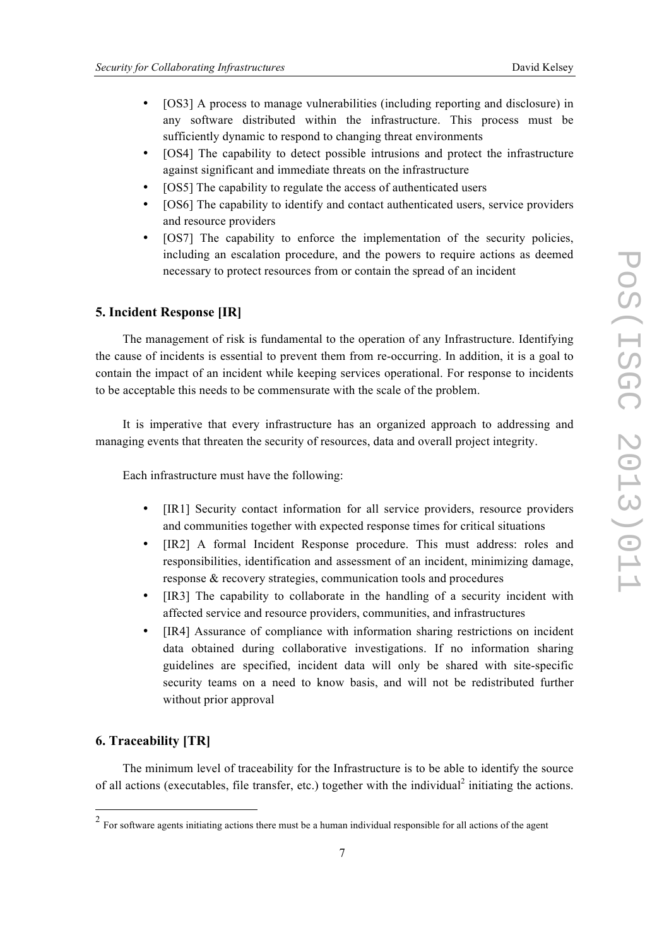- [OS3] A process to manage vulnerabilities (including reporting and disclosure) in any software distributed within the infrastructure. This process must be sufficiently dynamic to respond to changing threat environments
- [OS4] The capability to detect possible intrusions and protect the infrastructure against significant and immediate threats on the infrastructure
- [OS5] The capability to regulate the access of authenticated users
- [OS6] The capability to identify and contact authenticated users, service providers and resource providers
- [OS7] The capability to enforce the implementation of the security policies, including an escalation procedure, and the powers to require actions as deemed necessary to protect resources from or contain the spread of an incident

#### **5. Incident Response [IR]**

The management of risk is fundamental to the operation of any Infrastructure. Identifying the cause of incidents is essential to prevent them from re-occurring. In addition, it is a goal to contain the impact of an incident while keeping services operational. For response to incidents to be acceptable this needs to be commensurate with the scale of the problem.

It is imperative that every infrastructure has an organized approach to addressing and managing events that threaten the security of resources, data and overall project integrity.

Each infrastructure must have the following:

- [IR1] Security contact information for all service providers, resource providers and communities together with expected response times for critical situations
- [IR2] A formal Incident Response procedure. This must address: roles and responsibilities, identification and assessment of an incident, minimizing damage, response & recovery strategies, communication tools and procedures
- [IR3] The capability to collaborate in the handling of a security incident with affected service and resource providers, communities, and infrastructures
- [IR4] Assurance of compliance with information sharing restrictions on incident data obtained during collaborative investigations. If no information sharing guidelines are specified, incident data will only be shared with site-specific security teams on a need to know basis, and will not be redistributed further without prior approval

#### **6. Traceability [TR]**

The minimum level of traceability for the Infrastructure is to be able to identify the source of all actions (executables, file transfer, etc.) together with the individual<sup>2</sup> initiating the actions.

<sup>&</sup>lt;sup>2</sup> For software agents initiating actions there must be a human individual responsible for all actions of the agent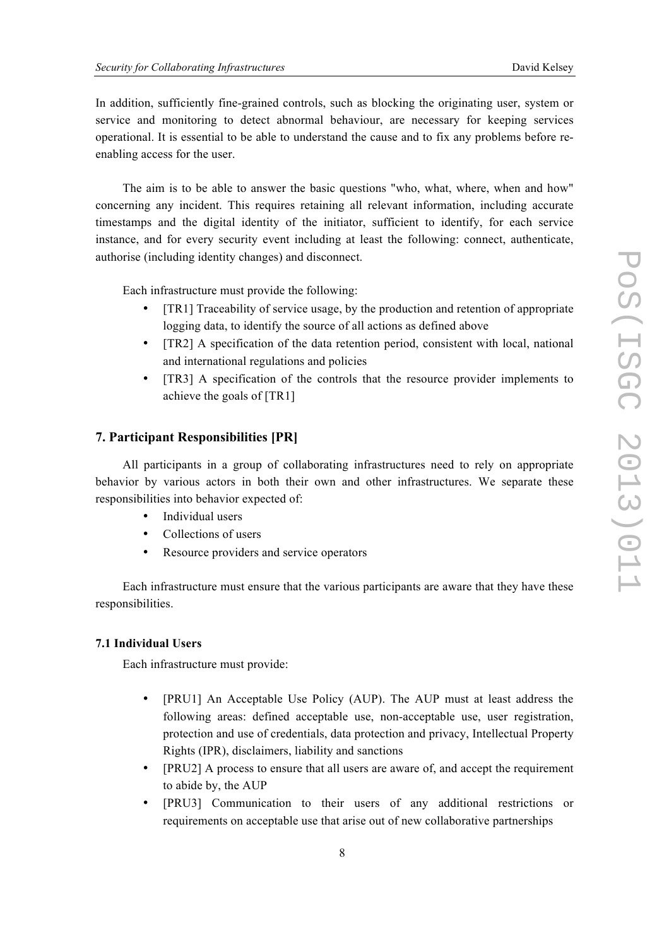In addition, sufficiently fine-grained controls, such as blocking the originating user, system or service and monitoring to detect abnormal behaviour, are necessary for keeping services operational. It is essential to be able to understand the cause and to fix any problems before reenabling access for the user.

The aim is to be able to answer the basic questions "who, what, where, when and how" concerning any incident. This requires retaining all relevant information, including accurate timestamps and the digital identity of the initiator, sufficient to identify, for each service instance, and for every security event including at least the following: connect, authenticate, authorise (including identity changes) and disconnect.

Each infrastructure must provide the following:

- [TR1] Traceability of service usage, by the production and retention of appropriate logging data, to identify the source of all actions as defined above
- [TR2] A specification of the data retention period, consistent with local, national and international regulations and policies
- [TR3] A specification of the controls that the resource provider implements to achieve the goals of [TR1]

## **7. Participant Responsibilities [PR]**

All participants in a group of collaborating infrastructures need to rely on appropriate behavior by various actors in both their own and other infrastructures. We separate these responsibilities into behavior expected of:

- Individual users
- Collections of users
- Resource providers and service operators

Each infrastructure must ensure that the various participants are aware that they have these responsibilities.

#### **7.1 Individual Users**

Each infrastructure must provide:

- [PRU1] An Acceptable Use Policy (AUP). The AUP must at least address the following areas: defined acceptable use, non-acceptable use, user registration, protection and use of credentials, data protection and privacy, Intellectual Property Rights (IPR), disclaimers, liability and sanctions
- [PRU2] A process to ensure that all users are aware of, and accept the requirement to abide by, the AUP
- [PRU3] Communication to their users of any additional restrictions or requirements on acceptable use that arise out of new collaborative partnerships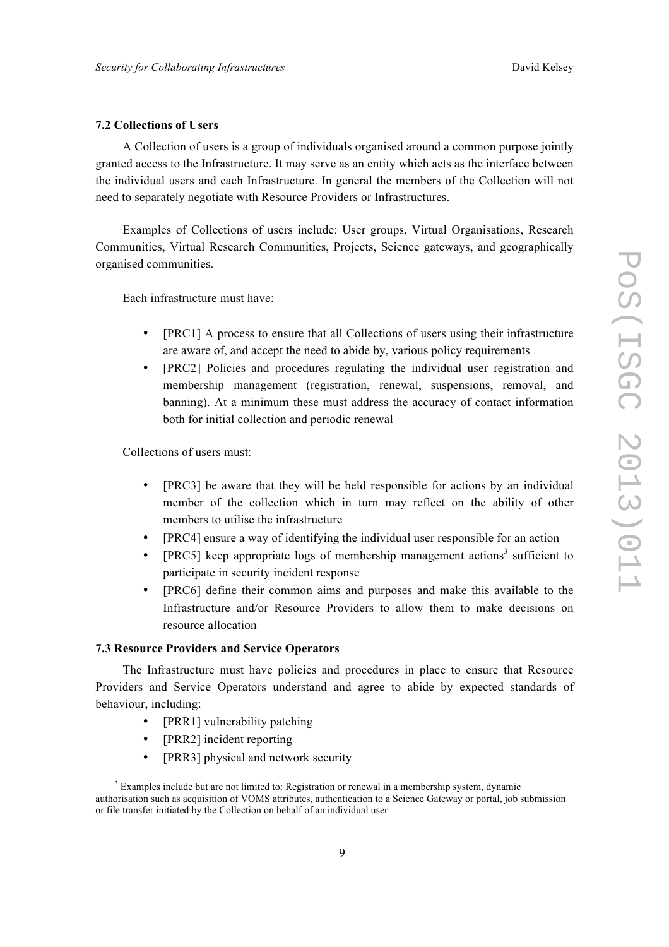#### **7.2 Collections of Users**

A Collection of users is a group of individuals organised around a common purpose jointly granted access to the Infrastructure. It may serve as an entity which acts as the interface between the individual users and each Infrastructure. In general the members of the Collection will not need to separately negotiate with Resource Providers or Infrastructures.

Examples of Collections of users include: User groups, Virtual Organisations, Research Communities, Virtual Research Communities, Projects, Science gateways, and geographically organised communities.

Each infrastructure must have:

- [PRC1] A process to ensure that all Collections of users using their infrastructure are aware of, and accept the need to abide by, various policy requirements
- [PRC2] Policies and procedures regulating the individual user registration and membership management (registration, renewal, suspensions, removal, and banning). At a minimum these must address the accuracy of contact information both for initial collection and periodic renewal

Collections of users must:

- [PRC3] be aware that they will be held responsible for actions by an individual member of the collection which in turn may reflect on the ability of other members to utilise the infrastructure
- [PRC4] ensure a way of identifying the individual user responsible for an action
- [PRC5] keep appropriate logs of membership management actions<sup>3</sup> sufficient to participate in security incident response
- [PRC6] define their common aims and purposes and make this available to the Infrastructure and/or Resource Providers to allow them to make decisions on resource allocation

#### **7.3 Resource Providers and Service Operators**

The Infrastructure must have policies and procedures in place to ensure that Resource Providers and Service Operators understand and agree to abide by expected standards of behaviour, including:

- [PRR1] vulnerability patching
- [PRR2] incident reporting
- [PRR3] physical and network security

<sup>&</sup>lt;sup>3</sup> Examples include but are not limited to: Registration or renewal in a membership system, dynamic authorisation such as acquisition of VOMS attributes, authentication to a Science Gateway or portal, job submission or file transfer initiated by the Collection on behalf of an individual user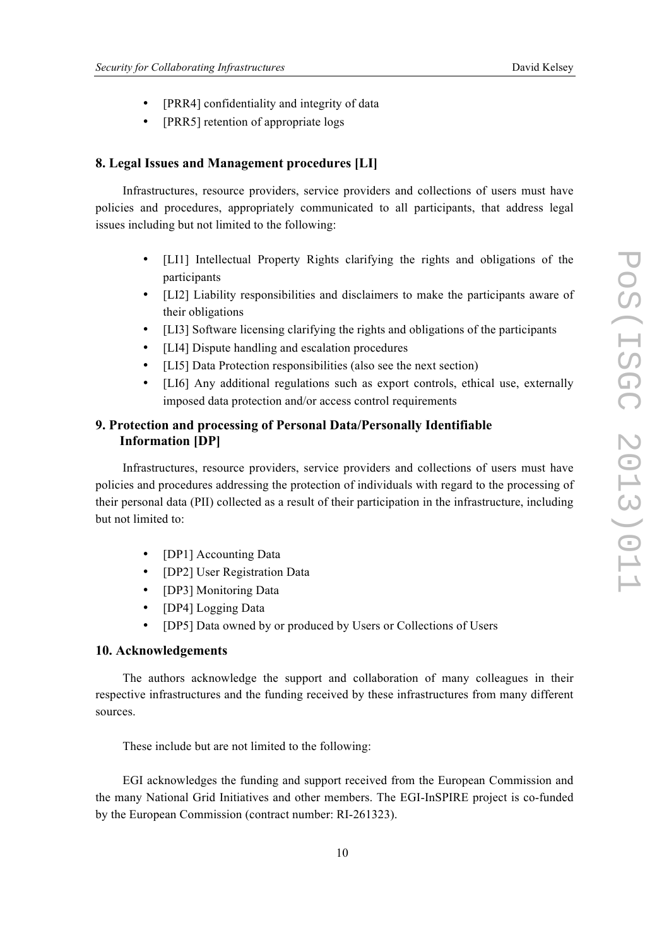- [PRR4] confidentiality and integrity of data
- [PRR5] retention of appropriate logs

#### **8. Legal Issues and Management procedures [LI]**

Infrastructures, resource providers, service providers and collections of users must have policies and procedures, appropriately communicated to all participants, that address legal issues including but not limited to the following:

- [LI1] Intellectual Property Rights clarifying the rights and obligations of the participants
- [LI2] Liability responsibilities and disclaimers to make the participants aware of their obligations
- [LI3] Software licensing clarifying the rights and obligations of the participants
- [LI4] Dispute handling and escalation procedures
- [LI5] Data Protection responsibilities (also see the next section)
- [LI6] Any additional regulations such as export controls, ethical use, externally imposed data protection and/or access control requirements

# **9. Protection and processing of Personal Data/Personally Identifiable Information [DP]**

Infrastructures, resource providers, service providers and collections of users must have policies and procedures addressing the protection of individuals with regard to the processing of their personal data (PII) collected as a result of their participation in the infrastructure, including but not limited to:

- [DP1] Accounting Data
- [DP2] User Registration Data
- [DP3] Monitoring Data
- [DP4] Logging Data
- [DP5] Data owned by or produced by Users or Collections of Users

#### **10. Acknowledgements**

The authors acknowledge the support and collaboration of many colleagues in their respective infrastructures and the funding received by these infrastructures from many different sources.

These include but are not limited to the following:

EGI acknowledges the funding and support received from the European Commission and the many National Grid Initiatives and other members. The EGI-InSPIRE project is co-funded by the European Commission (contract number: RI-261323).